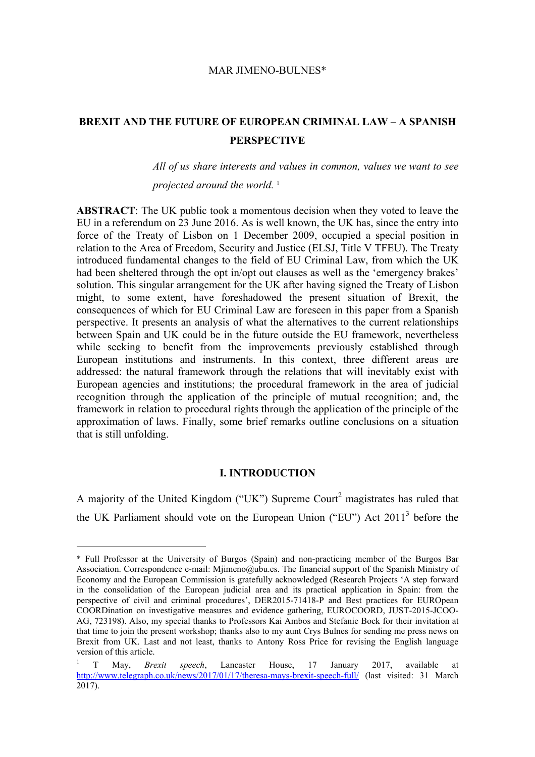#### MAR JIMENO-BULNES\*

## **BREXIT AND THE FUTURE OF EUROPEAN CRIMINAL LAW – A SPANISH PERSPECTIVE**

*All of us share interests and values in common, values we want to see projected around the world.* <sup>1</sup>

**ABSTRACT**: The UK public took a momentous decision when they voted to leave the EU in a referendum on 23 June 2016. As is well known, the UK has, since the entry into force of the Treaty of Lisbon on 1 December 2009, occupied a special position in relation to the Area of Freedom, Security and Justice (ELSJ, Title V TFEU). The Treaty introduced fundamental changes to the field of EU Criminal Law, from which the UK had been sheltered through the opt in/opt out clauses as well as the 'emergency brakes' solution. This singular arrangement for the UK after having signed the Treaty of Lisbon might, to some extent, have foreshadowed the present situation of Brexit, the consequences of which for EU Criminal Law are foreseen in this paper from a Spanish perspective. It presents an analysis of what the alternatives to the current relationships between Spain and UK could be in the future outside the EU framework, nevertheless while seeking to benefit from the improvements previously established through European institutions and instruments. In this context, three different areas are addressed: the natural framework through the relations that will inevitably exist with European agencies and institutions; the procedural framework in the area of judicial recognition through the application of the principle of mutual recognition; and, the framework in relation to procedural rights through the application of the principle of the approximation of laws. Finally, some brief remarks outline conclusions on a situation that is still unfolding.

### **I. INTRODUCTION**

A majority of the United Kingdom ("UK") Supreme Court<sup>2</sup> magistrates has ruled that the UK Parliament should vote on the European Union ("EU") Act 20113 before the

<sup>\*</sup> Full Professor at the University of Burgos (Spain) and non-practicing member of the Burgos Bar Association. Correspondence e-mail: Mjimeno@ubu.es. The financial support of the Spanish Ministry of Economy and the European Commission is gratefully acknowledged (Research Projects 'A step forward in the consolidation of the European judicial area and its practical application in Spain: from the perspective of civil and criminal procedures', DER2015-71418-P and Best practices for EUROpean COORDination on investigative measures and evidence gathering, EUROCOORD, JUST-2015-JCOO-AG, 723198). Also, my special thanks to Professors Kai Ambos and Stefanie Bock for their invitation at that time to join the present workshop; thanks also to my aunt Crys Bulnes for sending me press news on Brexit from UK. Last and not least, thanks to Antony Ross Price for revising the English language version of this article.

<sup>1</sup> T May, *Brexit speech*, Lancaster House, 17 January 2017, available at http://www.telegraph.co.uk/news/2017/01/17/theresa-mays-brexit-speech-full/ (last visited: 31 March 2017).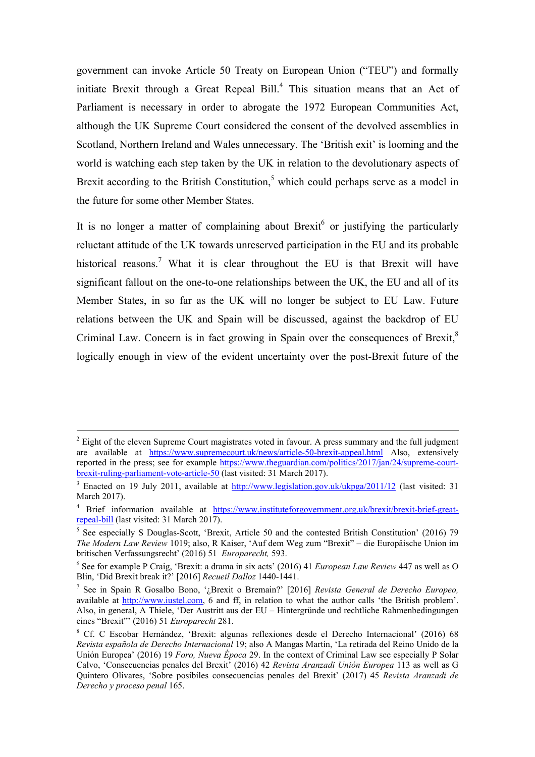government can invoke Article 50 Treaty on European Union ("TEU") and formally initiate Brexit through a Great Repeal Bill.<sup>4</sup> This situation means that an Act of Parliament is necessary in order to abrogate the 1972 European Communities Act, although the UK Supreme Court considered the consent of the devolved assemblies in Scotland, Northern Ireland and Wales unnecessary. The 'British exit' is looming and the world is watching each step taken by the UK in relation to the devolutionary aspects of Brexit according to the British Constitution,<sup>5</sup> which could perhaps serve as a model in the future for some other Member States.

It is no longer a matter of complaining about Brexit<sup>6</sup> or justifying the particularly reluctant attitude of the UK towards unreserved participation in the EU and its probable historical reasons.<sup>7</sup> What it is clear throughout the EU is that Brexit will have significant fallout on the one-to-one relationships between the UK, the EU and all of its Member States, in so far as the UK will no longer be subject to EU Law. Future relations between the UK and Spain will be discussed, against the backdrop of EU Criminal Law. Concern is in fact growing in Spain over the consequences of Brexit,<sup>8</sup> logically enough in view of the evident uncertainty over the post-Brexit future of the

.

 $2$  Eight of the eleven Supreme Court magistrates voted in favour. A press summary and the full judgment are available at https://www.supremecourt.uk/news/article-50-brexit-appeal.html Also, extensively reported in the press; see for example https://www.theguardian.com/politics/2017/jan/24/supreme-courtbrexit-ruling-parliament-vote-article-50 (last visited: 31 March 2017).

<sup>&</sup>lt;sup>3</sup> Enacted on 19 July 2011, available at  $\frac{http://www.legislation.gov.uk/ukpga/2011/12}{}$  (last visited: 31 March 2017).

<sup>&</sup>lt;sup>4</sup> Brief information available at https://www.instituteforgovernment.org.uk/brexit/brexit-brief-greatrepeal-bill (last visited: 31 March 2017).

<sup>&</sup>lt;sup>5</sup> See especially S Douglas-Scott, 'Brexit, Article 50 and the contested British Constitution' (2016) 79 *The Modern Law Review* 1019; also, R Kaiser, 'Auf dem Weg zum "Brexit" – die Europäische Union im britischen Verfassungsrecht' (2016) 51 *Europarecht,* 593.

<sup>6</sup> See for example P Craig, 'Brexit: a drama in six acts' (2016) 41 *European Law Review* 447 as well as O Blin, 'Did Brexit break it?' [2016] *Recueil Dalloz* 1440-1441.

<sup>7</sup> See in Spain R Gosalbo Bono, '¿Brexit o Bremain?' [2016] *Revista General de Derecho Europeo,*  available at http://www.iustel.com, 6 and ff, in relation to what the author calls 'the British problem'. Also, in general, A Thiele, 'Der Austritt aus der EU – Hintergründe und rechtliche Rahmenbedingungen eines "Brexit"' (2016) 51 *Europarecht* 281.

<sup>8</sup> Cf. C Escobar Hernández, 'Brexit: algunas reflexiones desde el Derecho Internacional' (2016) 68 *Revista española de Derecho Internacional* 19; also A Mangas Martín, 'La retirada del Reino Unido de la Unión Europea' (2016) 19 *Foro, Nueva Época* 29. In the context of Criminal Law see especially P Solar Calvo, 'Consecuencias penales del Brexit' (2016) 42 *Revista Aranzadi Unión Europea* 113 as well as G Quintero Olivares, 'Sobre posibiles consecuencias penales del Brexit' (2017) 45 *Revista Aranzadi de Derecho y proceso penal* 165.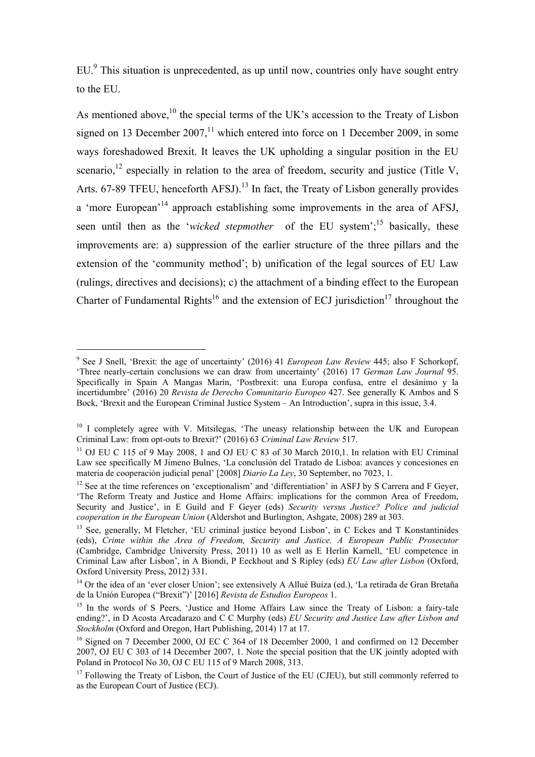EU.<sup>9</sup> This situation is unprecedented, as up until now, countries only have sought entry to the EU.

As mentioned above,  $10$  the special terms of the UK's accession to the Treaty of Lisbon signed on 13 December 2007,<sup>11</sup> which entered into force on 1 December 2009, in some ways foreshadowed Brexit. It leaves the UK upholding a singular position in the EU scenario,<sup>12</sup> especially in relation to the area of freedom, security and justice (Title V, Arts. 67-89 TFEU, henceforth AFSJ).<sup>13</sup> In fact, the Treaty of Lisbon generally provides a 'more European'<sup>14</sup> approach establishing some improvements in the area of AFSJ, seen until then as the '*wicked stepmother* of the EU system';<sup>15</sup> basically, these improvements are: a) suppression of the earlier structure of the three pillars and the extension of the 'community method'; b) unification of the legal sources of EU Law (rulings, directives and decisions); c) the attachment of a binding effect to the European Charter of Fundamental Rights<sup>16</sup> and the extension of ECJ jurisdiction<sup>17</sup> throughout the

<sup>9</sup> See J Snell, 'Brexit: the age of uncertainty' (2016) 41 *European Law Review* 445; also F Schorkopf, 'Three nearly-certain conclusions we can draw from uncertainty' (2016) 17 *German Law Journal* 95. Specifically in Spain A Mangas Marín, 'Postbrexit: una Europa confusa, entre el desánimo y la incertidumbre' (2016) 20 *Revista de Derecho Comunitario Europeo* 427. See generally K Ambos and S Bock, 'Brexit and the European Criminal Justice System – An Introduction', supra in this issue, 3.4.

<sup>&</sup>lt;sup>10</sup> I completely agree with V. Mitsilegas, 'The uneasy relationship between the UK and European Criminal Law: from opt-outs to Brexit?' (2016) 63 *Criminal Law Review* 517.

<sup>&</sup>lt;sup>11</sup> OJ EU C 115 of 9 May 2008, 1 and OJ EU C 83 of 30 March 2010,1. In relation with EU Criminal Law see specifically M Jimeno Bulnes, 'La conclusión del Tratado de Lisboa: avances y concesiones en materia de cooperación judicial penal' [2008] *Diario La Ley*, 30 September, no 7023, 1.

<sup>&</sup>lt;sup>12</sup> See at the time references on 'exceptionalism' and 'differentiation' in ASFJ by S Carrera and F Geyer, 'The Reform Treaty and Justice and Home Affairs: implications for the common Area of Freedom, Security and Justice', in E Guild and F Geyer (eds) *Security versus Justice? Police and judicial cooperation in the European Union* (Aldershot and Burlington, Ashgate, 2008) 289 at 303.

<sup>&</sup>lt;sup>13</sup> See, generally, M Fletcher, 'EU criminal justice beyond Lisbon', in C Eckes and T Konstantinides (eds), *Crime within the Area of Freedom, Security and Justice. A European Public Prosecutor* (Cambridge, Cambridge University Press, 2011) 10 as well as E Herlin Karnell, 'EU competence in Criminal Law after Lisbon', in A Biondi, P Eeckhout and S Ripley (eds) *EU Law after Lisbon* (Oxford, Oxford University Press, 2012) 331.

<sup>&</sup>lt;sup>14</sup> Or the idea of an 'ever closer Union'; see extensively A Allué Buiza (ed.), 'La retirada de Gran Bretaña de la Unión Europea ("Brexit")' [2016] *Revista de Estudios Europeos* 1.

<sup>&</sup>lt;sup>15</sup> In the words of S Peers, 'Justice and Home Affairs Law since the Treaty of Lisbon: a fairy-tale ending?', in D Acosta Arcadarazo and C C Murphy (eds) *EU Security and Justice Law after Lisbon and Stockholm* (Oxford and Oregon, Hart Publishing, 2014) 17 at 17.

<sup>&</sup>lt;sup>16</sup> Signed on 7 December 2000, OJ EC C 364 of 18 December 2000, 1 and confirmed on 12 December 2007, OJ EU C 303 of 14 December 2007, 1. Note the special position that the UK jointly adopted with Poland in Protocol No 30, OJ C EU 115 of 9 March 2008, 313.

 $17$  Following the Treaty of Lisbon, the Court of Justice of the EU (CJEU), but still commonly referred to as the European Court of Justice (ECJ).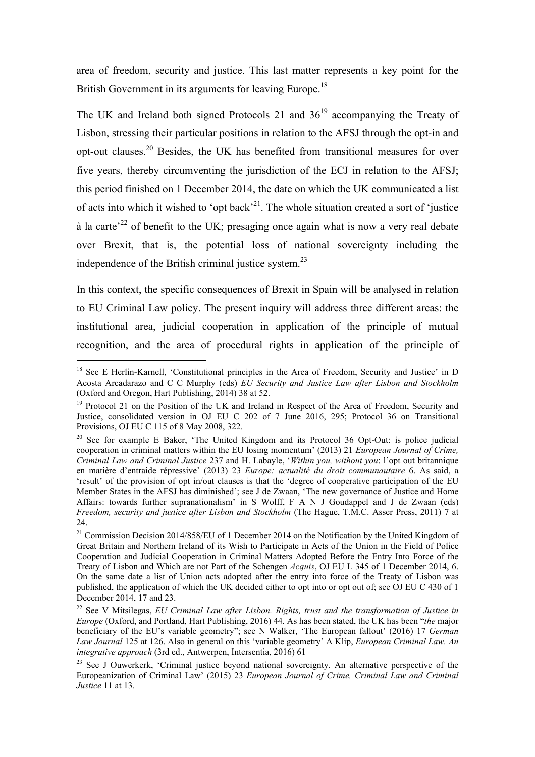area of freedom, security and justice. This last matter represents a key point for the British Government in its arguments for leaving Europe.<sup>18</sup>

The UK and Ireland both signed Protocols 21 and  $36<sup>19</sup>$  accompanying the Treaty of Lisbon, stressing their particular positions in relation to the AFSJ through the opt-in and opt-out clauses.<sup>20</sup> Besides, the UK has benefited from transitional measures for over five years, thereby circumventing the jurisdiction of the ECJ in relation to the AFSJ; this period finished on 1 December 2014, the date on which the UK communicated a list of acts into which it wished to 'opt back'<sup>21</sup>. The whole situation created a sort of 'justice à la carte<sup> $22$ </sup> of benefit to the UK; presaging once again what is now a very real debate over Brexit, that is, the potential loss of national sovereignty including the independence of the British criminal justice system.<sup>23</sup>

In this context, the specific consequences of Brexit in Spain will be analysed in relation to EU Criminal Law policy. The present inquiry will address three different areas: the institutional area, judicial cooperation in application of the principle of mutual recognition, and the area of procedural rights in application of the principle of

<sup>&</sup>lt;sup>18</sup> See E Herlin-Karnell, 'Constitutional principles in the Area of Freedom, Security and Justice' in D Acosta Arcadarazo and C C Murphy (eds) *EU Security and Justice Law after Lisbon and Stockholm* (Oxford and Oregon, Hart Publishing, 2014) 38 at 52.

<sup>&</sup>lt;sup>19</sup> Protocol 21 on the Position of the UK and Ireland in Respect of the Area of Freedom, Security and Justice, consolidated version in OJ EU C 202 of 7 June 2016, 295; Protocol 36 on Transitional Provisions, OJ EU C 115 of 8 May 2008, 322.

<sup>&</sup>lt;sup>20</sup> See for example E Baker, 'The United Kingdom and its Protocol 36 Opt-Out: is police judicial cooperation in criminal matters within the EU losing momentum' (2013) 21 *European Journal of Crime, Criminal Law and Criminal Justice* 237 and H. Labayle, '*Within you, without you*: l'opt out britannique en matière d'entraide répressive' (2013) 23 *Europe: actualité du droit communautaire* 6. As said, a 'result' of the provision of opt in/out clauses is that the 'degree of cooperative participation of the EU Member States in the AFSJ has diminished'; see J de Zwaan, 'The new governance of Justice and Home Affairs: towards further supranationalism' in S Wolff, F A N J Goudappel and J de Zwaan (eds) *Freedom, security and justice after Lisbon and Stockholm* (The Hague, T.M.C. Asser Press, 2011) 7 at 24.

<sup>&</sup>lt;sup>21</sup> Commission Decision 2014/858/EU of 1 December 2014 on the Notification by the United Kingdom of Great Britain and Northern Ireland of its Wish to Participate in Acts of the Union in the Field of Police Cooperation and Judicial Cooperation in Criminal Matters Adopted Before the Entry Into Force of the Treaty of Lisbon and Which are not Part of the Schengen *Acquis*, OJ EU L 345 of 1 December 2014, 6. On the same date a list of Union acts adopted after the entry into force of the Treaty of Lisbon was published, the application of which the UK decided either to opt into or opt out of; see OJ EU C 430 of 1 December 2014, 17 and 23.

<sup>22</sup> See V Mitsilegas, *EU Criminal Law after Lisbon. Rights, trust and the transformation of Justice in Europe* (Oxford, and Portland, Hart Publishing, 2016) 44. As has been stated, the UK has been "*the* major beneficiary of the EU's variable geometry"; see N Walker, 'The European fallout' (2016) 17 *German Law Journal* 125 at 126. Also in general on this 'variable geometry' A Klip, *European Criminal Law. An integrative approach* (3rd ed., Antwerpen, Intersentia, 2016) 61

 $23$  See J Ouwerkerk, 'Criminal justice beyond national sovereignty. An alternative perspective of the Europeanization of Criminal Law' (2015) 23 *European Journal of Crime, Criminal Law and Criminal Justice* 11 at 13.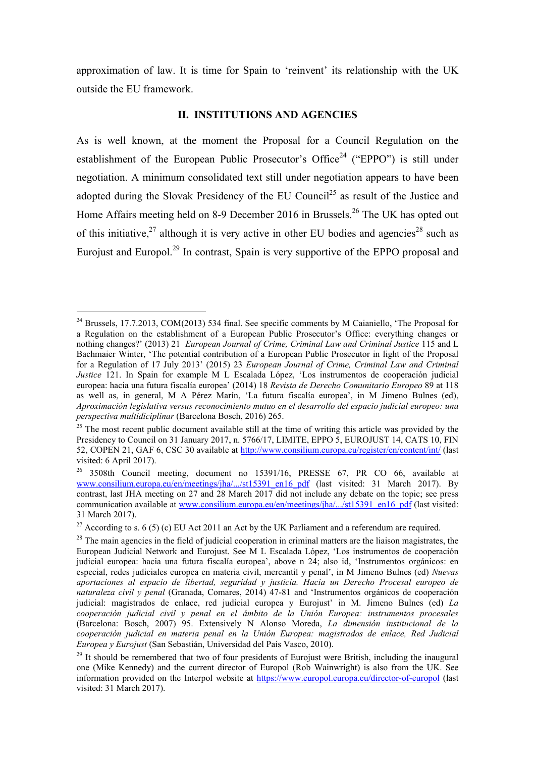approximation of law. It is time for Spain to 'reinvent' its relationship with the UK outside the EU framework.

### **II. INSTITUTIONS AND AGENCIES**

As is well known, at the moment the Proposal for a Council Regulation on the establishment of the European Public Prosecutor's Office<sup>24</sup> ("EPPO") is still under negotiation. A minimum consolidated text still under negotiation appears to have been adopted during the Slovak Presidency of the EU Council<sup>25</sup> as result of the Justice and Home Affairs meeting held on 8-9 December 2016 in Brussels.<sup>26</sup> The UK has opted out of this initiative,  $27$  although it is very active in other EU bodies and agencies<sup>28</sup> such as Eurojust and Europol.<sup>29</sup> In contrast. Spain is very supportive of the EPPO proposal and

<sup>&</sup>lt;sup>24</sup> Brussels, 17.7.2013, COM(2013) 534 final. See specific comments by M Caianiello. 'The Proposal for a Regulation on the establishment of a European Public Prosecutor's Office: everything changes or nothing changes?' (2013) 21 *European Journal of Crime, Criminal Law and Criminal Justice* 115 and L Bachmaier Winter, 'The potential contribution of a European Public Prosecutor in light of the Proposal for a Regulation of 17 July 2013' (2015) 23 *European Journal of Crime, Criminal Law and Criminal Justice* 121. In Spain for example M L Escalada López, 'Los instrumentos de cooperación judicial europea: hacia una futura fiscalía europea' (2014) 18 *Revista de Derecho Comunitario Europeo* 89 at 118 as well as, in general, M A Pérez Marín, 'La futura fiscalía europea', in M Jimeno Bulnes (ed), *Aproximación legislativa versus reconocimiento mutuo en el desarrollo del espacio judicial europeo: una perspectiva multidiciplinar* (Barcelona Bosch, 2016) 265.

<sup>&</sup>lt;sup>25</sup> The most recent public document available still at the time of writing this article was provided by the Presidency to Council on 31 January 2017, n. 5766/17, LIMITE, EPPO 5, EUROJUST 14, CATS 10, FIN 52, COPEN 21, GAF 6, CSC 30 available at http://www.consilium.europa.eu/register/en/content/int/ (last visited: 6 April 2017).

<sup>&</sup>lt;sup>26</sup> 3508th Council meeting, document no 15391/16, PRESSE 67, PR CO 66, available at www.consilium.europa.eu/en/meetings/jha/.../st15391\_en16\_pdf (last visited: 31 March 2017). By contrast, last JHA meeting on 27 and 28 March 2017 did not include any debate on the topic; see press communication available at www.consilium.europa.eu/en/meetings/jha/.../st15391\_en16\_pdf (last visited: 31 March 2017).

<sup>&</sup>lt;sup>27</sup> According to s. 6 (5) (c) EU Act 2011 an Act by the UK Parliament and a referendum are required.

<sup>&</sup>lt;sup>28</sup> The main agencies in the field of judicial cooperation in criminal matters are the liaison magistrates, the European Judicial Network and Eurojust. See M L Escalada López, 'Los instrumentos de cooperación judicial europea: hacia una futura fiscalía europea', above n 24; also id, 'Instrumentos orgánicos: en especial, redes judiciales europea en materia civil, mercantil y penal', in M Jimeno Bulnes (ed) *Nuevas aportaciones al espacio de libertad, seguridad y justicia. Hacia un Derecho Procesal europeo de naturaleza civil y penal* (Granada, Comares, 2014) 47-81 and 'Instrumentos orgánicos de cooperación judicial: magistrados de enlace, red judicial europea y Eurojust' in M. Jimeno Bulnes (ed) *La cooperación judicial civil y penal en el ámbito de la Unión Europea: instrumentos procesales* (Barcelona: Bosch, 2007) 95. Extensively N Alonso Moreda, *La dimensión institucional de la cooperación judicial en materia penal en la Unión Europea: magistrados de enlace, Red Judicial Europea y Eurojust* (San Sebastián, Universidad del País Vasco, 2010).

 $29$  It should be remembered that two of four presidents of Eurojust were British, including the inaugural one (Mike Kennedy) and the current director of Europol (Rob Wainwright) is also from the UK. See information provided on the Interpol website at https://www.europol.europa.eu/director-of-europol (last visited: 31 March 2017).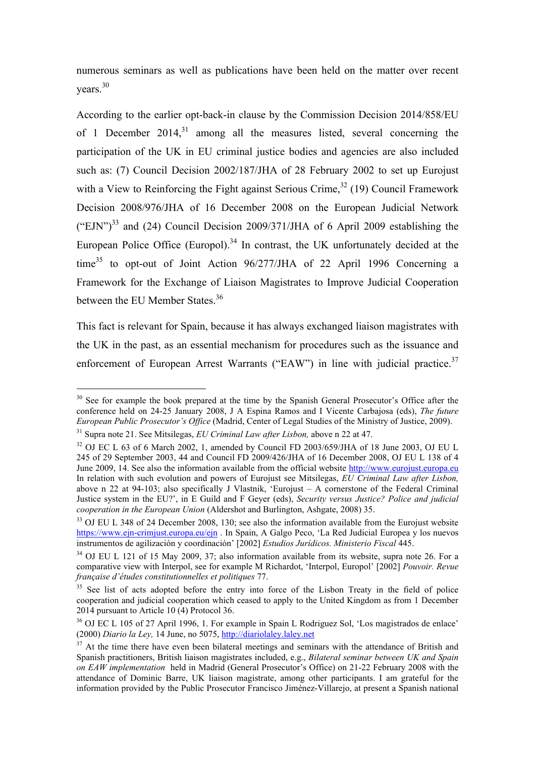numerous seminars as well as publications have been held on the matter over recent years.<sup>30</sup>

According to the earlier opt-back-in clause by the Commission Decision 2014/858/EU of 1 December 2014, $31$  among all the measures listed, several concerning the participation of the UK in EU criminal justice bodies and agencies are also included such as: (7) Council Decision 2002/187/JHA of 28 February 2002 to set up Eurojust with a View to Reinforcing the Fight against Serious Crime,  $32$  (19) Council Framework Decision 2008/976/JHA of 16 December 2008 on the European Judicial Network  $("ENN")$ <sup>33</sup> and (24) Council Decision 2009/371/JHA of 6 April 2009 establishing the European Police Office (Europol).<sup>34</sup> In contrast, the UK unfortunately decided at the time<sup>35</sup> to opt-out of Joint Action  $96/277$ /JHA of 22 April 1996 Concerning a Framework for the Exchange of Liaison Magistrates to Improve Judicial Cooperation between the EU Member States.<sup>36</sup>

This fact is relevant for Spain, because it has always exchanged liaison magistrates with the UK in the past, as an essential mechanism for procedures such as the issuance and enforcement of European Arrest Warrants ("EAW") in line with judicial practice.<sup>37</sup>

<sup>&</sup>lt;sup>30</sup> See for example the book prepared at the time by the Spanish General Prosecutor's Office after the conference held on 24-25 January 2008, J A Espina Ramos and I Vicente Carbajosa (eds), *The future European Public Prosecutor's Office* (Madrid, Center of Legal Studies of the Ministry of Justice, 2009).

<sup>31</sup> Supra note 21. See Mitsilegas, *EU Criminal Law after Lisbon,* above n 22 at 47.

 $32$  OJ EC L 63 of 6 March 2002, 1, amended by Council FD 2003/659/JHA of 18 June 2003, OJ EU L 245 of 29 September 2003, 44 and Council FD 2009/426/JHA of 16 December 2008, OJ EU L 138 of 4 June 2009, 14. See also the information available from the official website http://www.eurojust.europa.eu In relation with such evolution and powers of Eurojust see Mitsilegas, *EU Criminal Law after Lisbon,*  above n 22 at 94-103; also specifically J Vlastnik, 'Eurojust – A cornerstone of the Federal Criminal Justice system in the EU?', in E Guild and F Geyer (eds), *Security versus Justice? Police and judicial cooperation in the European Union* (Aldershot and Burlington, Ashgate, 2008) 35.

<sup>&</sup>lt;sup>33</sup> OJ EU L 348 of 24 December 2008, 130; see also the information available from the Eurojust website https://www.ejn-crimjust.europa.eu/ejn . In Spain, A Galgo Peco, 'La Red Judicial Europea y los nuevos instrumentos de agilización y coordinación' [2002] *Estudios Jurídicos. Ministerio Fiscal* 445.

<sup>&</sup>lt;sup>34</sup> OJ EU L 121 of 15 May 2009, 37; also information available from its website, supra note 26. For a comparative view with Interpol, see for example M Richardot, 'Interpol, Europol' [2002] *Pouvoir. Revue française d'études constitutionnelles et politiques* 77.

<sup>&</sup>lt;sup>35</sup> See list of acts adopted before the entry into force of the Lisbon Treaty in the field of police cooperation and judicial cooperation which ceased to apply to the United Kingdom as from 1 December 2014 pursuant to Article 10 (4) Protocol 36.

<sup>36</sup> OJ EC L 105 of 27 April 1996, 1. For example in Spain L Rodriguez Sol, 'Los magistrados de enlace' (2000) *Diario la Ley,* 14 June, no 5075, http://diariolaley.laley.net

<sup>&</sup>lt;sup>37</sup> At the time there have even been bilateral meetings and seminars with the attendance of British and Spanish practitioners, British liaison magistrates included, e.g., *Bilateral seminar between UK and Spain on EAW implementation* held in Madrid (General Prosecutor's Office) on 21-22 February 2008 with the attendance of Dominic Barre, UK liaison magistrate, among other participants. I am grateful for the information provided by the Public Prosecutor Francisco Jiménez-Villarejo, at present a Spanish national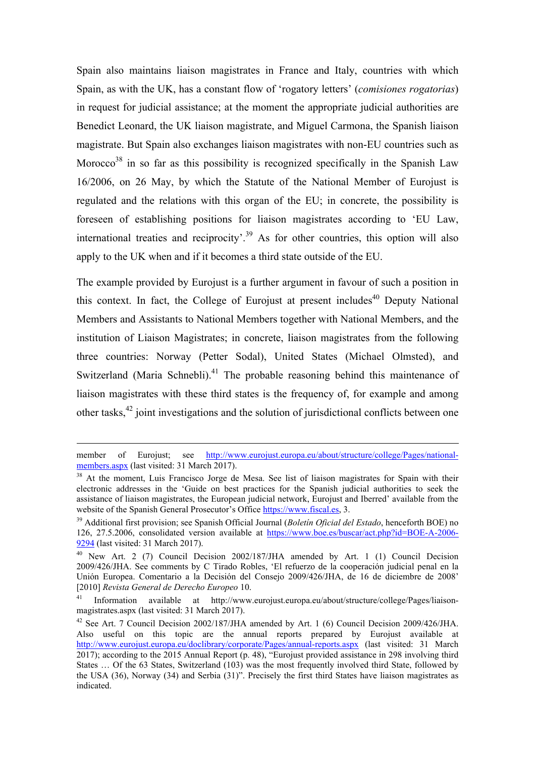Spain also maintains liaison magistrates in France and Italy, countries with which Spain, as with the UK, has a constant flow of 'rogatory letters' (*comisiones rogatorias*) in request for judicial assistance; at the moment the appropriate judicial authorities are Benedict Leonard, the UK liaison magistrate, and Miguel Carmona, the Spanish liaison magistrate. But Spain also exchanges liaison magistrates with non-EU countries such as Morocco<sup>38</sup> in so far as this possibility is recognized specifically in the Spanish Law 16/2006, on 26 May, by which the Statute of the National Member of Eurojust is regulated and the relations with this organ of the EU; in concrete, the possibility is foreseen of establishing positions for liaison magistrates according to 'EU Law, international treaties and reciprocity'.<sup>39</sup> As for other countries, this option will also apply to the UK when and if it becomes a third state outside of the EU.

The example provided by Eurojust is a further argument in favour of such a position in this context. In fact, the College of Eurojust at present includes<sup>40</sup> Deputy National Members and Assistants to National Members together with National Members, and the institution of Liaison Magistrates; in concrete, liaison magistrates from the following three countries: Norway (Petter Sodal), United States (Michael Olmsted), and Switzerland (Maria Schnebli).<sup>41</sup> The probable reasoning behind this maintenance of liaison magistrates with these third states is the frequency of, for example and among other tasks, $42$  joint investigations and the solution of jurisdictional conflicts between one

.

member of Eurojust; see http://www.eurojust.europa.eu/about/structure/college/Pages/nationalmembers.aspx (last visited: 31 March 2017).<br><sup>38</sup> At the moment, Luis Francisco Jorge de Mesa. See list of liaison magistrates for Spain with their

electronic addresses in the 'Guide on best practices for the Spanish judicial authorities to seek the assistance of liaison magistrates, the European judicial network, Eurojust and Iberred' available from the website of the Spanish General Prosecutor's Office https://www.fiscal.es, 3.

<sup>39</sup> Additional first provision; see Spanish Official Journal (*Boletín Oficial del Estado*, henceforth BOE) no 126, 27.5.2006, consolidated version available at https://www.boe.es/buscar/act.php?id=BOE-A-2006- 9294 (last visited: 31 March 2017).

<sup>40</sup> New Art. 2 (7) Council Decision 2002/187/JHA amended by Art. 1 (1) Council Decision 2009/426/JHA. See comments by C Tirado Robles, 'El refuerzo de la cooperación judicial penal en la Unión Europea. Comentario a la Decisión del Consejo 2009/426/JHA, de 16 de diciembre de 2008' [2010] *Revista General de Derecho Europeo* 10.

<sup>41</sup> Information available at http://www.eurojust.europa.eu/about/structure/college/Pages/liaisonmagistrates.aspx (last visited: 31 March 2017).

<sup>42</sup> See Art. 7 Council Decision 2002/187/JHA amended by Art. 1 (6) Council Decision 2009/426/JHA. Also useful on this topic are the annual reports prepared by Eurojust available at http://www.eurojust.europa.eu/doclibrary/corporate/Pages/annual-reports.aspx (last visited: 31 March 2017); according to the 2015 Annual Report (p. 48), "Eurojust provided assistance in 298 involving third States … Of the 63 States, Switzerland (103) was the most frequently involved third State, followed by the USA (36), Norway (34) and Serbia (31)<sup>"</sup>. Precisely the first third States have liaison magistrates as indicated.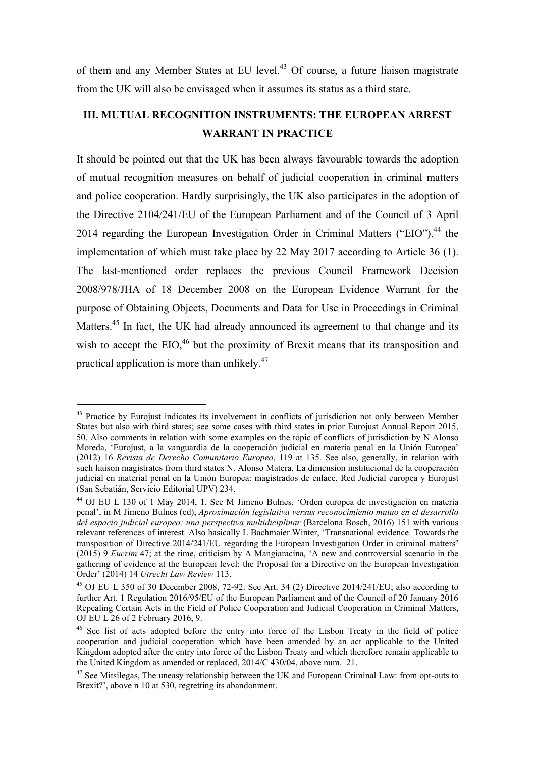of them and any Member States at EU level.<sup>43</sup> Of course, a future liaison magistrate from the UK will also be envisaged when it assumes its status as a third state.

## **III. MUTUAL RECOGNITION INSTRUMENTS: THE EUROPEAN ARREST WARRANT IN PRACTICE**

It should be pointed out that the UK has been always favourable towards the adoption of mutual recognition measures on behalf of judicial cooperation in criminal matters and police cooperation. Hardly surprisingly, the UK also participates in the adoption of the Directive 2104/241/EU of the European Parliament and of the Council of 3 April 2014 regarding the European Investigation Order in Criminal Matters ("EIO"),<sup>44</sup> the implementation of which must take place by 22 May 2017 according to Article 36 (1). The last-mentioned order replaces the previous Council Framework Decision 2008/978/JHA of 18 December 2008 on the European Evidence Warrant for the purpose of Obtaining Objects, Documents and Data for Use in Proceedings in Criminal Matters.<sup>45</sup> In fact, the UK had already announced its agreement to that change and its wish to accept the EIO,<sup>46</sup> but the proximity of Brexit means that its transposition and practical application is more than unlikely.<sup>47</sup>

<sup>&</sup>lt;sup>43</sup> Practice by Eurojust indicates its involvement in conflicts of jurisdiction not only between Member States but also with third states; see some cases with third states in prior Eurojust Annual Report 2015, 50. Also comments in relation with some examples on the topic of conflicts of jurisdiction by N Alonso Moreda, 'Eurojust, a la vanguardia de la cooperación judicial en materia penal en la Unión Europea' (2012) 16 *Revista de Derecho Comunitario Europeo*, 119 at 135. See also, generally, in relation with such liaison magistrates from third states N. Alonso Matera, La dimension institucional de la cooperación judicial en material penal en la Unión Europea: magistrados de enlace, Red Judicial europea y Eurojust (San Sebatián, Servicio Editorial UPV) 234.

<sup>44</sup> OJ EU L 130 of 1 May 2014, 1. See M Jimeno Bulnes, 'Orden europea de investigación en materia penal', in M Jimeno Bulnes (ed), *Aproximación legislativa versus reconocimiento mutuo en el desarrollo del espacio judicial europeo: una perspectiva multidiciplinar* (Barcelona Bosch, 2016) 151 with various relevant references of interest. Also basically L Bachmaier Winter, 'Transnational evidence. Towards the transposition of Directive 2014/241/EU regarding the European Investigation Order in criminal matters' (2015) 9 *Eucrim* 47; at the time, criticism by A Mangiaracina, 'A new and controversial scenario in the gathering of evidence at the European level: the Proposal for a Directive on the European Investigation Order' (2014) 14 *Utrecht Law Review* 113.

<sup>&</sup>lt;sup>45</sup> OJ EU L 350 of 30 December 2008, 72-92. See Art. 34 (2) Directive 2014/241/EU; also according to further Art. 1 Regulation 2016/95/EU of the European Parliament and of the Council of 20 January 2016 Repealing Certain Acts in the Field of Police Cooperation and Judicial Cooperation in Criminal Matters, OJ EU L 26 of 2 February 2016, 9.

<sup>&</sup>lt;sup>46</sup> See list of acts adopted before the entry into force of the Lisbon Treaty in the field of police cooperation and judicial cooperation which have been amended by an act applicable to the United Kingdom adopted after the entry into force of the Lisbon Treaty and which therefore remain applicable to the United Kingdom as amended or replaced, 2014/C 430/04, above num. 21.

 $47$  See Mitsilegas, The uneasy relationship between the UK and European Criminal Law: from opt-outs to Brexit?', above n 10 at 530, regretting its abandonment.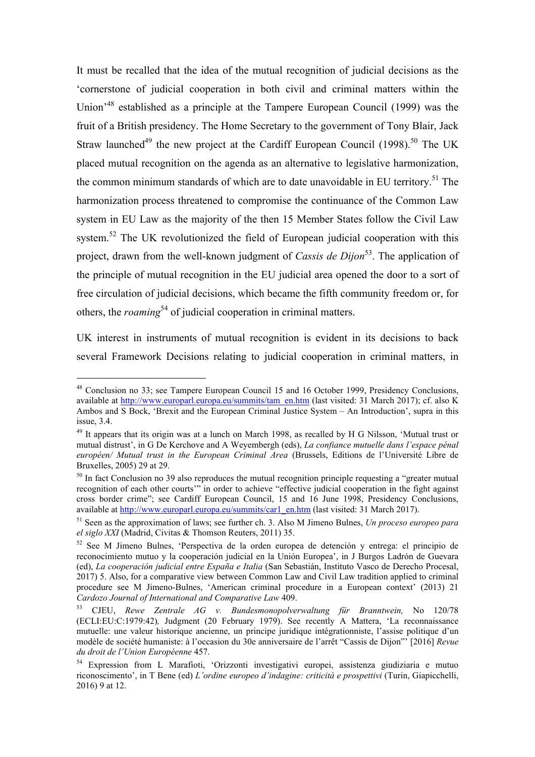It must be recalled that the idea of the mutual recognition of judicial decisions as the 'cornerstone of judicial cooperation in both civil and criminal matters within the Union'48 established as a principle at the Tampere European Council (1999) was the fruit of a British presidency. The Home Secretary to the government of Tony Blair, Jack Straw launched<sup>49</sup> the new project at the Cardiff European Council (1998).<sup>50</sup> The UK placed mutual recognition on the agenda as an alternative to legislative harmonization, the common minimum standards of which are to date unavoidable in EU territory. <sup>51</sup> The harmonization process threatened to compromise the continuance of the Common Law system in EU Law as the majority of the then 15 Member States follow the Civil Law system.<sup>52</sup> The UK revolutionized the field of European judicial cooperation with this project, drawn from the well-known judgment of *Cassis de Dijon*<sup>53</sup>. The application of the principle of mutual recognition in the EU judicial area opened the door to a sort of free circulation of judicial decisions, which became the fifth community freedom or, for others, the *roaming*<sup>54</sup> of judicial cooperation in criminal matters.

UK interest in instruments of mutual recognition is evident in its decisions to back several Framework Decisions relating to judicial cooperation in criminal matters, in

<sup>48</sup> Conclusion no 33; see Tampere European Council 15 and 16 October 1999, Presidency Conclusions, available at http://www.europarl.europa.eu/summits/tam\_en.htm (last visited: 31 March 2017); cf. also K Ambos and S Bock, 'Brexit and the European Criminal Justice System – An Introduction', supra in this issue, 3.4.

<sup>&</sup>lt;sup>49</sup> It appears that its origin was at a lunch on March 1998, as recalled by H G Nilsson, 'Mutual trust or mutual distrust', in G De Kerchove and A Weyembergh (eds), *La confiance mutuelle dans l'espace pénal européen/ Mutual trust in the European Criminal Area* (Brussels, Editions de l'Université Libre de Bruxelles, 2005) 29 at 29.

<sup>&</sup>lt;sup>50</sup> In fact Conclusion no 39 also reproduces the mutual recognition principle requesting a "greater mutual" recognition of each other courts'" in order to achieve "effective judicial cooperation in the fight against cross border crime"; see Cardiff European Council, 15 and 16 June 1998, Presidency Conclusions, available at http://www.europarl.europa.eu/summits/car1\_en.htm (last visited: 31 March 2017).

<sup>51</sup> Seen as the approximation of laws; see further ch. 3. Also M Jimeno Bulnes, *Un proceso europeo para el siglo XXI* (Madrid, Civitas & Thomson Reuters, 2011) 35.

<sup>52</sup> See M Jimeno Bulnes, 'Perspectiva de la orden europea de detención y entrega: el principio de reconocimiento mutuo y la cooperación judicial en la Unión Europea', in J Burgos Ladrón de Guevara (ed), *La cooperación judicial entre España e Italia* (San Sebastián, Instituto Vasco de Derecho Procesal, 2017) 5. Also, for a comparative view between Common Law and Civil Law tradition applied to criminal procedure see M Jimeno-Bulnes, 'American criminal procedure in a European context' (2013) 21 *Cardozo Journal of International and Comparative Law* 409.

<sup>53</sup> CJEU, *Rewe Zentrale AG v. Bundesmonopolverwaltung für Branntwein,* No 120/78 (ECLI:EU:C:1979:42)*,* Judgment (20 February 1979). See recently A Mattera, 'La reconnaissance mutuelle: une valeur historique ancienne, un principe juridique intégrationniste, l'assise politique d'un modèle de société humaniste: à l'occasion du 30e anniversaire de l'arrêt "Cassis de Dijon"' [2016] *Revue du droit de l'Union Européenne* 457.

<sup>54</sup> Expression from L Marafioti, 'Orizzonti investigativi europei, assistenza giudiziaria e mutuo riconoscimento', in T Bene (ed) *L'ordine europeo d'indagine: criticità e prospettivi* (Turin, Giapicchelli, 2016) 9 at 12.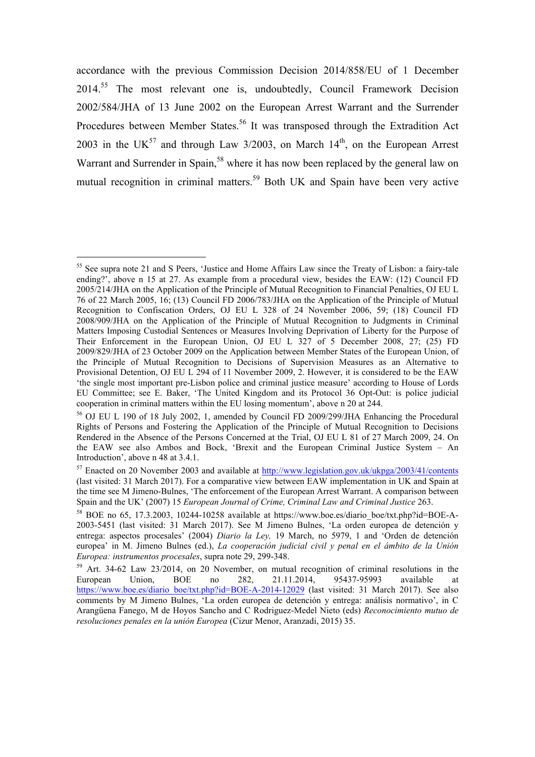accordance with the previous Commission Decision 2014/858/EU of 1 December 2014.<sup>55</sup> The most relevant one is, undoubtedly, Council Framework Decision 2002/584/JHA of 13 June 2002 on the European Arrest Warrant and the Surrender Procedures between Member States.<sup>56</sup> It was transposed through the Extradition Act 2003 in the UK<sup>57</sup> and through Law 3/2003, on March  $14<sup>th</sup>$ , on the European Arrest Warrant and Surrender in Spain,<sup>58</sup> where it has now been replaced by the general law on mutual recognition in criminal matters.<sup>59</sup> Both UK and Spain have been very active

<sup>55</sup> See supra note 21 and S Peers, 'Justice and Home Affairs Law since the Treaty of Lisbon: a fairy-tale ending?', above n 15 at 27. As example from a procedural view, besides the EAW: (12) Council FD 2005/214/JHA on the Application of the Principle of Mutual Recognition to Financial Penalties, OJ EU L 76 of 22 March 2005, 16; (13) Council FD 2006/783/JHA on the Application of the Principle of Mutual Recognition to Confiscation Orders, OJ EU L 328 of 24 November 2006, 59; (18) Council FD 2008/909/JHA on the Application of the Principle of Mutual Recognition to Judgments in Criminal Matters Imposing Custodial Sentences or Measures Involving Deprivation of Liberty for the Purpose of Their Enforcement in the European Union, OJ EU L 327 of 5 December 2008, 27; (25) FD 2009/829/JHA of 23 October 2009 on the Application between Member States of the European Union, of the Principle of Mutual Recognition to Decisions of Supervision Measures as an Alternative to Provisional Detention, OJ EU L 294 of 11 November 2009, 2. However, it is considered to be the EAW 'the single most important pre-Lisbon police and criminal justice measure' according to House of Lords EU Committee; see E. Baker, 'The United Kingdom and its Protocol 36 Opt-Out: is police judicial cooperation in criminal matters within the EU losing momentum', above n 20 at 244.

<sup>56</sup> OJ EU L 190 of 18 July 2002, 1, amended by Council FD 2009/299/JHA Enhancing the Procedural Rights of Persons and Fostering the Application of the Principle of Mutual Recognition to Decisions Rendered in the Absence of the Persons Concerned at the Trial, OJ EU L 81 of 27 March 2009, 24. On the EAW see also Ambos and Bock, 'Brexit and the European Criminal Justice System – An Introduction', above n 48 at 3.4.1.

<sup>&</sup>lt;sup>57</sup> Enacted on 20 November 2003 and available at http://www.legislation.gov.uk/ukpga/2003/41/contents (last visited: 31 March 2017). For a comparative view between EAW implementation in UK and Spain at the time see M Jimeno-Bulnes, 'The enforcement of the European Arrest Warrant. A comparison between Spain and the UK' (2007) 15 *European Journal of Crime, Criminal Law and Criminal Justice* 263.

<sup>&</sup>lt;sup>58</sup> BOE no 65, 17.3.2003, 10244-10258 available at https://www.boe.es/diario\_boe/txt.php?id=BOE-A-2003-5451 (last visited: 31 March 2017). See M Jimeno Bulnes, 'La orden europea de detención y entrega: aspectos procesales' (2004) *Diario la Ley,* 19 March, no 5979, 1 and 'Orden de detención europea' in M. Jimeno Bulnes (ed.), *La cooperación judicial civil y penal en el ámbito de la Unión Europea: instrumentos procesales*, supra note 29, 299-348.

<sup>59</sup> Art. 34-62 Law 23/2014, on 20 November, on mutual recognition of criminal resolutions in the European Union, BOE no 282, 21.11.2014, 95437-95993 available at https://www.boe.es/diario\_boe/txt.php?id=BOE-A-2014-12029 (last visited: 31 March 2017). See also comments by M Jimeno Bulnes, 'La orden europea de detención y entrega: análisis normativo', in C Arangüena Fanego, M de Hoyos Sancho and C Rodriguez-Medel Nieto (eds) *Reconocimiento mutuo de resoluciones penales en la unión Europea* (Cizur Menor, Aranzadi, 2015) 35.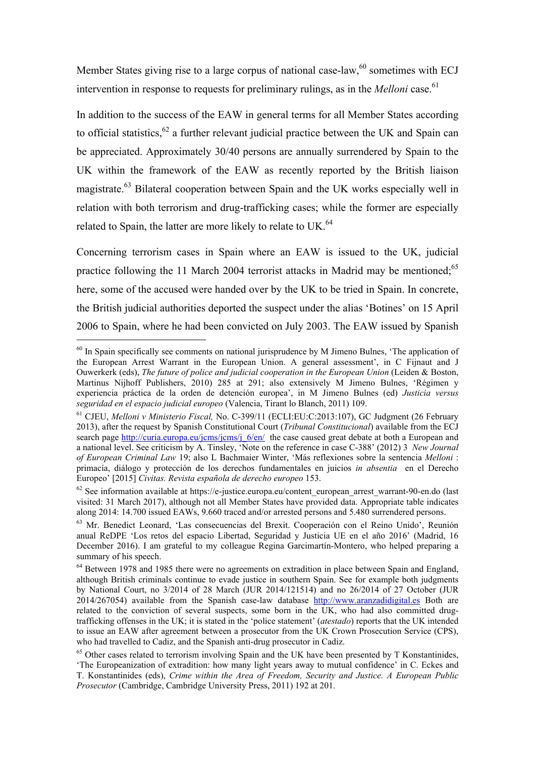Member States giving rise to a large corpus of national case-law, <sup>60</sup> sometimes with ECJ intervention in response to requests for preliminary rulings, as in the *Melloni* case.<sup>61</sup>

In addition to the success of the EAW in general terms for all Member States according to official statistics,  $62$  a further relevant judicial practice between the UK and Spain can be appreciated. Approximately 30/40 persons are annually surrendered by Spain to the UK within the framework of the EAW as recently reported by the British liaison magistrate.<sup>63</sup> Bilateral cooperation between Spain and the UK works especially well in relation with both terrorism and drug-trafficking cases; while the former are especially related to Spain, the latter are more likely to relate to UK.<sup>64</sup>

Concerning terrorism cases in Spain where an EAW is issued to the UK, judicial practice following the 11 March 2004 terrorist attacks in Madrid may be mentioned;<sup>65</sup> here, some of the accused were handed over by the UK to be tried in Spain. In concrete, the British judicial authorities deported the suspect under the alias 'Botines' on 15 April 2006 to Spain, where he had been convicted on July 2003. The EAW issued by Spanish

 $60$  In Spain specifically see comments on national jurisprudence by M Jimeno Bulnes. The application of the European Arrest Warrant in the European Union. A general assessment', in C Fijnaut and J Ouwerkerk (eds), *The future of police and judicial cooperation in the European Union* (Leiden & Boston, Martinus Nijhoff Publishers, 2010) 285 at 291; also extensively M Jimeno Bulnes, 'Régimen y experiencia práctica de la orden de detención europea', in M Jimeno Bulnes (ed) *Justicia versus seguridad en el espacio judicial europeo* (Valencia, Tirant lo Blanch, 2011) 109.

<sup>61</sup> CJEU, *Melloni v Ministerio Fiscal,* No. C-399/11 (ECLI:EU:C:2013:107), GC Judgment (26 February 2013), after the request by Spanish Constitutional Court (*Tribunal Constitucional*) available from the ECJ search page http://curia.europa.eu/jcms/jcms/j\_6/en/ the case caused great debate at both a European and a national level. See criticism by A. Tinsley, 'Note on the reference in case C-388' (2012) 3 *New Journal of European Criminal Law* 19; also L Bachmaier Winter, 'Más reflexiones sobre la sentencia *Melloni* : primacía, diálogo y protección de los derechos fundamentales en juicios *in absentia* en el Derecho Europeo' [2015] *Civitas. Revista española de derecho europeo* 153.

 $62$  See information available at https://e-justice.europa.eu/content\_european\_arrest\_warrant-90-en.do (last visited: 31 March 2017), although not all Member States have provided data. Appropriate table indicates along 2014: 14.700 issued EAWs, 9.660 traced and/or arrested persons and 5.480 surrendered persons.

<sup>63</sup> Mr. Benedict Leonard, 'Las consecuencias del Brexit. Cooperación con el Reino Unido', Reunión anual ReDPE 'Los retos del espacio Libertad, Seguridad y Justicia UE en el año 2016' (Madrid, 16 December 2016). I am grateful to my colleague Regina Garcimartín-Montero, who helped preparing a summary of his speech.

<sup>&</sup>lt;sup>64</sup> Between 1978 and 1985 there were no agreements on extradition in place between Spain and England, although British criminals continue to evade justice in southern Spain. See for example both judgments by National Court, no 3/2014 of 28 March (JUR 2014/121514) and no 26/2014 of 27 October (JUR 2014/267054) available from the Spanish case-law database http://www.aranzadidigital.es Both are related to the conviction of several suspects, some born in the UK, who had also committed drugtrafficking offenses in the UK; it is stated in the 'police statement' (*atestado*) reports that the UK intended to issue an EAW after agreement between a prosecutor from the UK Crown Prosecution Service (CPS), who had travelled to Cadiz, and the Spanish anti-drug prosecutor in Cadiz.

<sup>&</sup>lt;sup>65</sup> Other cases related to terrorism involving Spain and the UK have been presented by T Konstantinides, 'The Europeanization of extradition: how many light years away to mutual confidence' in C. Eckes and T. Konstantinides (eds), *Crime within the Area of Freedom, Security and Justice. A European Public Prosecutor* (Cambridge, Cambridge University Press, 2011) 192 at 201.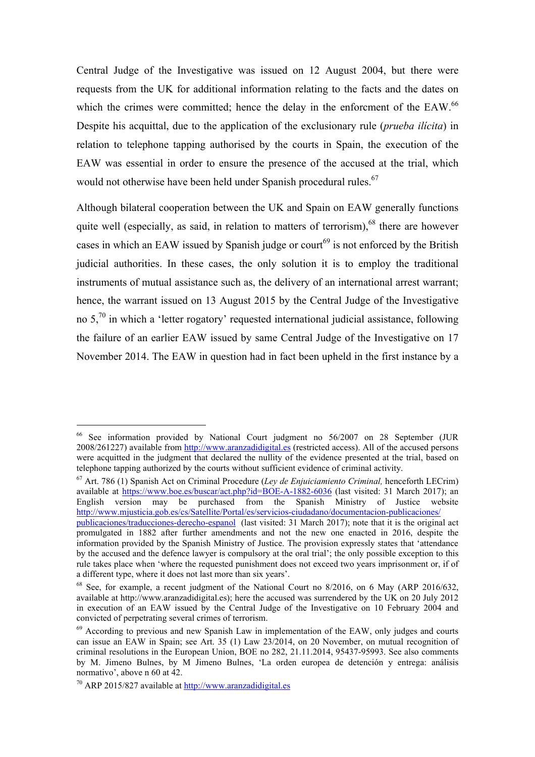Central Judge of the Investigative was issued on 12 August 2004, but there were requests from the UK for additional information relating to the facts and the dates on which the crimes were committed; hence the delay in the enforcment of the EAW.<sup>66</sup> Despite his acquittal, due to the application of the exclusionary rule (*prueba ilícita*) in relation to telephone tapping authorised by the courts in Spain, the execution of the EAW was essential in order to ensure the presence of the accused at the trial, which would not otherwise have been held under Spanish procedural rules.<sup>67</sup>

Although bilateral cooperation between the UK and Spain on EAW generally functions quite well (especially, as said, in relation to matters of terrorism),<sup>68</sup> there are however cases in which an EAW issued by Spanish judge or court<sup>69</sup> is not enforced by the British judicial authorities. In these cases, the only solution it is to employ the traditional instruments of mutual assistance such as, the delivery of an international arrest warrant; hence, the warrant issued on 13 August 2015 by the Central Judge of the Investigative no  $5<sup>70</sup>$  in which a 'letter rogatory' requested international judicial assistance, following the failure of an earlier EAW issued by same Central Judge of the Investigative on 17 November 2014. The EAW in question had in fact been upheld in the first instance by a

<sup>66</sup> See information provided by National Court judgment no 56/2007 on 28 September (JUR 2008/261227) available from http://www.aranzadidigital.es (restricted access). All of the accused persons were acquitted in the judgment that declared the nullity of the evidence presented at the trial, based on telephone tapping authorized by the courts without sufficient evidence of criminal activity.

<sup>67</sup> Art. 786 (1) Spanish Act on Criminal Procedure (*Ley de Enjuiciamiento Criminal,* henceforth LECrim) available at https://www.boe.es/buscar/act.php?id=BOE-A-1882-6036 (last visited: 31 March 2017); an English version may be purchased from the Spanish Ministry of Justice website http://www.mjusticia.gob.es/cs/Satellite/Portal/es/servicios-ciudadano/documentacion-publicaciones/ publicaciones/traducciones-derecho-espanol (last visited: 31 March 2017); note that it is the original act

promulgated in 1882 after further amendments and not the new one enacted in 2016, despite the information provided by the Spanish Ministry of Justice. The provision expressly states that 'attendance by the accused and the defence lawyer is compulsory at the oral trial'; the only possible exception to this rule takes place when 'where the requested punishment does not exceed two years imprisonment or, if of a different type, where it does not last more than six years'.

 $68$  See, for example, a recent judgment of the National Court no 8/2016, on 6 May (ARP 2016/632, available at http://www.aranzadidigital.es); here the accused was surrendered by the UK on 20 July 2012 in execution of an EAW issued by the Central Judge of the Investigative on 10 February 2004 and convicted of perpetrating several crimes of terrorism.

 $69$  According to previous and new Spanish Law in implementation of the EAW, only judges and courts can issue an EAW in Spain; see Art. 35 (1) Law 23/2014, on 20 November, on mutual recognition of criminal resolutions in the European Union, BOE no 282, 21.11.2014, 95437-95993. See also comments by M. Jimeno Bulnes, by M Jimeno Bulnes, 'La orden europea de detención y entrega: análisis normativo', above n 60 at 42.

<sup>70</sup> ARP 2015/827 available at http://www.aranzadidigital.es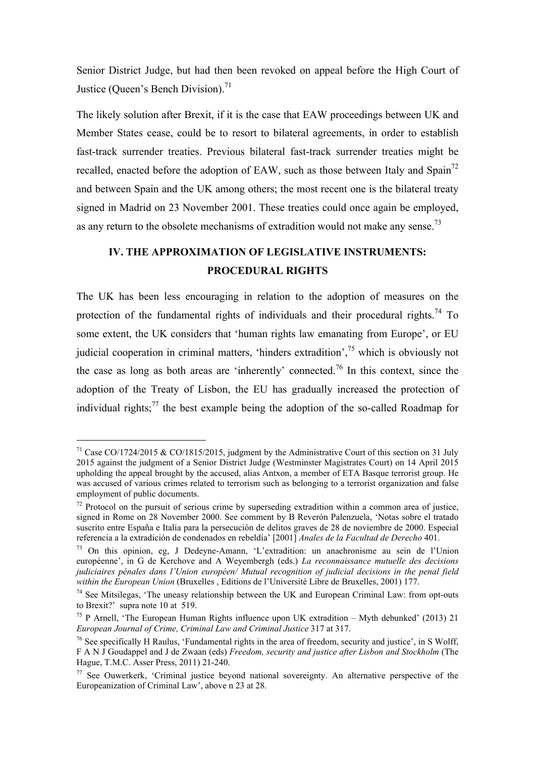Senior District Judge, but had then been revoked on appeal before the High Court of Justice (Oueen's Bench Division).<sup>71</sup>

The likely solution after Brexit, if it is the case that EAW proceedings between UK and Member States cease, could be to resort to bilateral agreements, in order to establish fast-track surrender treaties. Previous bilateral fast-track surrender treaties might be recalled, enacted before the adoption of EAW, such as those between Italy and Spain<sup>72</sup> and between Spain and the UK among others; the most recent one is the bilateral treaty signed in Madrid on 23 November 2001. These treaties could once again be employed, as any return to the obsolete mechanisms of extradition would not make any sense.<sup>73</sup>

# **IV. THE APPROXIMATION OF LEGISLATIVE INSTRUMENTS: PROCEDURAL RIGHTS**

The UK has been less encouraging in relation to the adoption of measures on the protection of the fundamental rights of individuals and their procedural rights.<sup>74</sup> To some extent, the UK considers that 'human rights law emanating from Europe', or EU judicial cooperation in criminal matters, 'hinders extradition',<sup>75</sup> which is obviously not the case as long as both areas are 'inherently' connected.<sup>76</sup> In this context, since the adoption of the Treaty of Lisbon, the EU has gradually increased the protection of individual rights;<sup>77</sup> the best example being the adoption of the so-called Roadmap for

<sup>&</sup>lt;sup>71</sup> Case CO/1724/2015 & CO/1815/2015, judgment by the Administrative Court of this section on 31 July 2015 against the judgment of a Senior District Judge (Westminster Magistrates Court) on 14 April 2015 upholding the appeal brought by the accused, alias Antxon, a member of ETA Basque terrorist group. He was accused of various crimes related to terrorism such as belonging to a terrorist organization and false employment of public documents.

 $72$  Protocol on the pursuit of serious crime by superseding extradition within a common area of justice, signed in Rome on 28 November 2000. See comment by B Reverón Palenzuela, 'Notas sobre el tratado suscrito entre España e Italia para la persecución de delitos graves de 28 de noviembre de 2000. Especial referencia a la extradición de condenados en rebeldía' [2001] *Anales de la Facultad de Derecho* 401.

<sup>73</sup> On this opinion, eg, J Dedeyne-Amann, 'L'extradition: un anachronisme au sein de l'Union européenne', in G de Kerchove and A Weyembergh (eds.) *La reconnaissance mutuelle des decisions judiciaires pénales dans l'Union européen/ Mutual recognition of judicial decisions in the penal field within the European Union* (Bruxelles , Editions de l'Université Libre de Bruxelles, 2001) 177.

 $74$  See Mitsilegas, 'The uneasy relationship between the UK and European Criminal Law: from opt-outs to Brexit?' supra note 10 at 519.

<sup>&</sup>lt;sup>75</sup> P Arnell, 'The European Human Rights influence upon UK extradition – Myth debunked' (2013) 21 *European Journal of Crime, Criminal Law and Criminal Justice* 317 at 317.

<sup>76</sup> See specifically H Raulus, 'Fundamental rights in the area of freedom, security and justice', in S Wolff, F A N J Goudappel and J de Zwaan (eds) *Freedom, security and justice after Lisbon and Stockholm* (The Hague, T.M.C. Asser Press, 2011) 21-240.<br><sup>77</sup> See Ouwerkerk, 'Criminal justice beyond national sovereignty. An alternative perspective of the

Europeanization of Criminal Law', above n 23 at 28.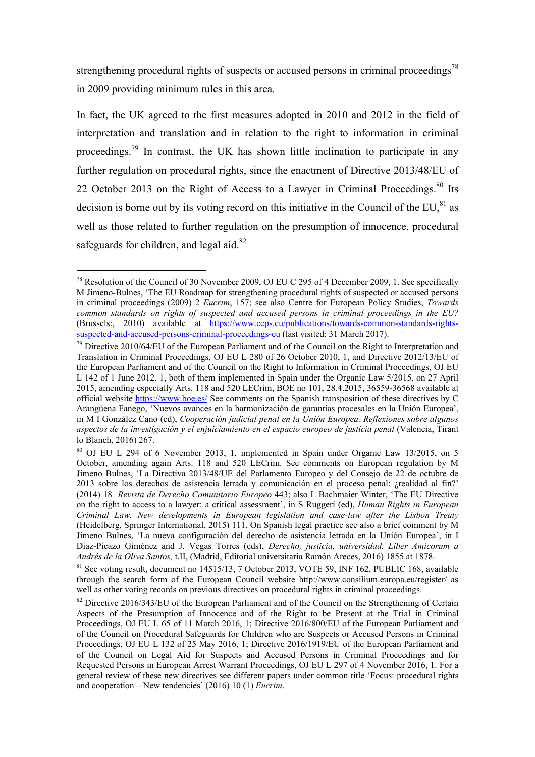strengthening procedural rights of suspects or accused persons in criminal proceedings<sup>78</sup> in 2009 providing minimum rules in this area.

In fact, the UK agreed to the first measures adopted in 2010 and 2012 in the field of interpretation and translation and in relation to the right to information in criminal proceedings.<sup>79</sup> In contrast, the UK has shown little inclination to participate in any further regulation on procedural rights, since the enactment of Directive 2013/48/EU of 22 October 2013 on the Right of Access to a Lawyer in Criminal Proceedings.<sup>80</sup> Its decision is borne out by its voting record on this initiative in the Council of the EU, ${}^{81}$  as well as those related to further regulation on the presumption of innocence, procedural safeguards for children, and legal aid.<sup>82</sup>

<sup>78</sup> Resolution of the Council of 30 November 2009, OJ EU C 295 of 4 December 2009, 1. See specifically M Jimeno-Bulnes, 'The EU Roadmap for strengthening procedural rights of suspected or accused persons in criminal proceedings (2009) 2 *Eucrim*, 157; see also Centre for European Policy Studies, *Towards common standards on rights of suspected and accused persons in criminal proceedings in the EU?* (Brussels:, 2010) available at https://www.ceps.eu/publications/towards-common-standards-rightssuspected-and-accused-persons-criminal-proceedings-eu (last visited: 31 March 2017).

 $79$  Directive 2010/64/EU of the European Parliament and of the Council on the Right to Interpretation and Translation in Criminal Proceedings, OJ EU L 280 of 26 October 2010, 1, and Directive 2012/13/EU of the European Parliament and of the Council on the Right to Information in Criminal Proceedings, OJ EU L 142 of 1 June 2012, 1, both of them implemented in Spain under the Organic Law 5/2015, on 27 April 2015, amending especially Arts. 118 and 520 LECrim, BOE no 101, 28.4.2015, 36559-36568 available at official website https://www.boe.es/ See comments on the Spanish transposition of these directives by C Arangüena Fanego, 'Nuevos avances en la harmonización de garantías procesales en la Unión Europea', in M I González Cano (ed), *Cooperación judicial penal en la Unión Europea. Reflexiones sobre algunos aspectos de la investigación y el enjuiciamiento en el espacio europeo de justicia penal* (Valencia, Tirant lo Blanch, 2016) 267.

<sup>80</sup> OJ EU L 294 of 6 November 2013, 1, implemented in Spain under Organic Law 13/2015, on 5 October, amending again Arts. 118 and 520 LECrim. See comments on European regulation by M Jimeno Bulnes, 'La Directiva 2013/48/UE del Parlamento Europeo y del Consejo de 22 de octubre de 2013 sobre los derechos de asistencia letrada y comunicación en el proceso penal: ¿realidad al fin?' (2014) 18 *Revista de Derecho Comunitario Europeo* 443; also L Bachmaier Winter, 'The EU Directive on the right to access to a lawyer: a critical assessment', in S Ruggeri (ed), *Human Rights in European Criminal Law. New developments in European legislation and case-law after the Lisbon Treaty*  (Heidelberg, Springer International, 2015) 111. On Spanish legal practice see also a brief comment by M Jimeno Bulnes, 'La nueva configuración del derecho de asistencia letrada en la Unión Europea', in I Díaz-Picazo Giménez and J. Vegas Torres (eds), *Derecho, justicia, universidad. Liber Amicorum a Andrés de la Oliva Santos,* t.II, (Madrid, Editorial universitaria Ramón Areces, 2016) 1855 at 1878.

<sup>&</sup>lt;sup>81</sup> See voting result, document no 14515/13, 7 October 2013, VOTE 59, INF 162, PUBLIC 168, available through the search form of the European Council website http://www.consilium.europa.eu/register/ as well as other voting records on previous directives on procedural rights in criminal proceedings.

 $82$  Directive 2016/343/EU of the European Parliament and of the Council on the Strengthening of Certain Aspects of the Presumption of Innocence and of the Right to be Present at the Trial in Criminal Proceedings, OJ EU L 65 of 11 March 2016, 1; Directive 2016/800/EU of the European Parliament and of the Council on Procedural Safeguards for Children who are Suspects or Accused Persons in Criminal Proceedings, OJ EU L 132 of 25 May 2016, 1; Directive 2016/1919/EU of the European Parliament and of the Council on Legal Aid for Suspects and Accused Persons in Criminal Proceedings and for Requested Persons in European Arrest Warrant Proceedings, OJ EU L 297 of 4 November 2016, 1. For a general review of these new directives see different papers under common title 'Focus: procedural rights and cooperation – New tendencies' (2016) 10 (1) *Eucrim*.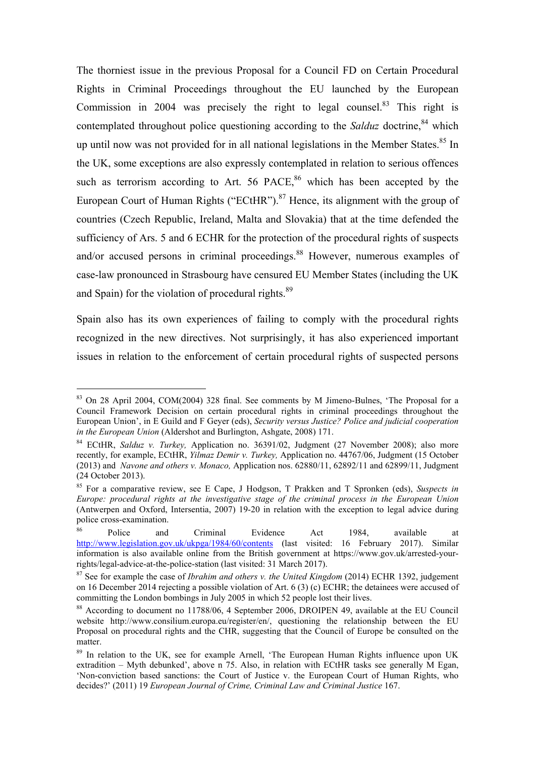The thorniest issue in the previous Proposal for a Council FD on Certain Procedural Rights in Criminal Proceedings throughout the EU launched by the European Commission in 2004 was precisely the right to legal counsel.<sup>83</sup> This right is contemplated throughout police questioning according to the *Salduz* doctrine,<sup>84</sup> which up until now was not provided for in all national legislations in the Member States. $85$  In the UK, some exceptions are also expressly contemplated in relation to serious offences such as terrorism according to Art. 56 PACE, $86$  which has been accepted by the European Court of Human Rights ("ECtHR").<sup>87</sup> Hence, its alignment with the group of countries (Czech Republic, Ireland, Malta and Slovakia) that at the time defended the sufficiency of Ars. 5 and 6 ECHR for the protection of the procedural rights of suspects and/or accused persons in criminal proceedings.<sup>88</sup> However, numerous examples of case-law pronounced in Strasbourg have censured EU Member States (including the UK and Spain) for the violation of procedural rights.<sup>89</sup>

Spain also has its own experiences of failing to comply with the procedural rights recognized in the new directives. Not surprisingly, it has also experienced important issues in relation to the enforcement of certain procedural rights of suspected persons

<sup>83</sup> On 28 April 2004, COM(2004) 328 final. See comments by M Jimeno-Bulnes, 'The Proposal for a Council Framework Decision on certain procedural rights in criminal proceedings throughout the European Union', in E Guild and F Geyer (eds), *Security versus Justice? Police and judicial cooperation in the European Union* (Aldershot and Burlington, Ashgate, 2008) 171.

<sup>84</sup> ECtHR, *Salduz v. Turkey,* Application no. 36391/02, Judgment (27 November 2008); also more recently, for example, ECtHR, *Yilmaz Demir v. Turkey,* Application no. 44767/06, Judgment (15 October (2013) and *Navone and others v. Monaco,* Application nos. 62880/11, 62892/11 and 62899/11, Judgment (24 October 2013).

<sup>85</sup> For a comparative review, see E Cape, J Hodgson, T Prakken and T Spronken (eds), *Suspects in Europe: procedural rights at the investigative stage of the criminal process in the European Union* (Antwerpen and Oxford, Intersentia, 2007) 19-20 in relation with the exception to legal advice during police cross-examination.

<sup>86</sup> Police and Criminal Evidence Act 1984, available at http://www.legislation.gov.uk/ukpga/1984/60/contents (last visited: 16 February 2017). Similar information is also available online from the British government at https://www.gov.uk/arrested-yourrights/legal-advice-at-the-police-station (last visited: 31 March 2017).

<sup>87</sup> See for example the case of *Ibrahim and others v. the United Kingdom* (2014) ECHR 1392, judgement on 16 December 2014 rejecting a possible violation of Art. 6 (3) (c) ECHR; the detainees were accused of committing the London bombings in July 2005 in which 52 people lost their lives.

<sup>&</sup>lt;sup>88</sup> According to document no 11788/06, 4 September 2006, DROIPEN 49, available at the EU Council website http://www.consilium.europa.eu/register/en/, questioning the relationship between the EU Proposal on procedural rights and the CHR, suggesting that the Council of Europe be consulted on the matter.

<sup>&</sup>lt;sup>89</sup> In relation to the UK, see for example Arnell, 'The European Human Rights influence upon UK extradition – Myth debunked', above n 75. Also, in relation with ECtHR tasks see generally  $\dot{M}$  Egan, 'Non-conviction based sanctions: the Court of Justice v. the European Court of Human Rights, who decides?' (2011) 19 *European Journal of Crime, Criminal Law and Criminal Justice* 167.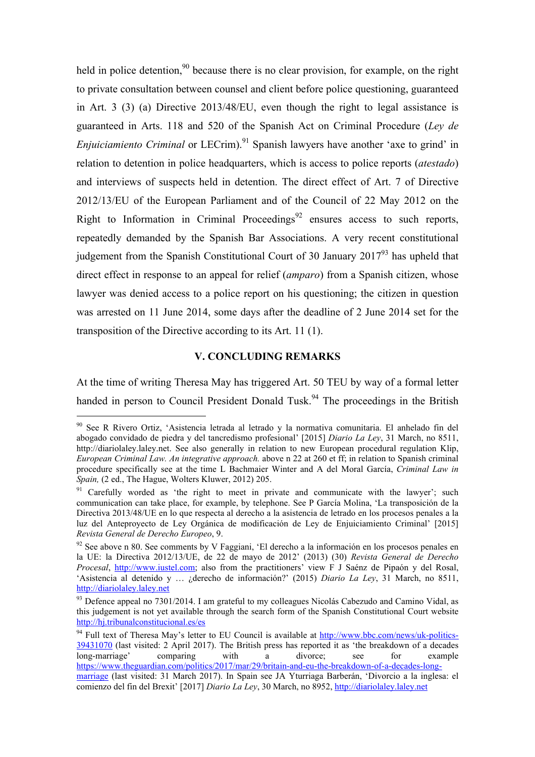held in police detention,<sup>90</sup> because there is no clear provision, for example, on the right to private consultation between counsel and client before police questioning, guaranteed in Art. 3 (3) (a) Directive 2013/48/EU, even though the right to legal assistance is guaranteed in Arts. 118 and 520 of the Spanish Act on Criminal Procedure (*Ley de Enjuiciamiento Criminal* or LECrim). <sup>91</sup> Spanish lawyers have another 'axe to grind' in relation to detention in police headquarters, which is access to police reports (*atestado*) and interviews of suspects held in detention. The direct effect of Art. 7 of Directive 2012/13/EU of the European Parliament and of the Council of 22 May 2012 on the Right to Information in Criminal Proceedings<sup>92</sup> ensures access to such reports, repeatedly demanded by the Spanish Bar Associations. A very recent constitutional judgement from the Spanish Constitutional Court of 30 January  $2017<sup>93</sup>$  has upheld that direct effect in response to an appeal for relief (*amparo*) from a Spanish citizen, whose lawyer was denied access to a police report on his questioning; the citizen in question was arrested on 11 June 2014, some days after the deadline of 2 June 2014 set for the transposition of the Directive according to its Art. 11 (1).

### **V. CONCLUDING REMARKS**

At the time of writing Theresa May has triggered Art. 50 TEU by way of a formal letter handed in person to Council President Donald Tusk.<sup>94</sup> The proceedings in the British

<sup>90</sup> See R Rivero Ortiz, 'Asistencia letrada al letrado y la normativa comunitaria. El anhelado fin del abogado convidado de piedra y del tancredismo profesional' [2015] *Diario La Ley*, 31 March, no 8511, http://diariolaley.laley.net. See also generally in relation to new European procedural regulation Klip, *European Criminal Law. An integrative approach.* above n 22 at 260 et ff; in relation to Spanish criminal procedure specifically see at the time L Bachmaier Winter and A del Moral García, *Criminal Law in Spain,* (2 ed., The Hague, Wolters Kluwer, 2012) 205.

<sup>&</sup>lt;sup>91</sup> Carefully worded as 'the right to meet in private and communicate with the lawyer'; such communication can take place, for example, by telephone. See P García Molina, 'La transposición de la Directiva 2013/48/UE en lo que respecta al derecho a la asistencia de letrado en los procesos penales a la luz del Anteproyecto de Ley Orgánica de modificación de Ley de Enjuiciamiento Criminal' [2015] *Revista General de Derecho Europeo*, 9.

 $92$  See above n 80. See comments by V Faggiani, 'El derecho a la información en los procesos penales en la UE: la Directiva 2012/13/UE, de 22 de mayo de 2012' (2013) (30) *Revista General de Derecho Procesal*, http://www.iustel.com; also from the practitioners' view F J Saénz de Pipaón y del Rosal, 'Asistencia al detenido y … ¿derecho de información?' (2015) *Diario La Ley*, 31 March, no 8511, http://diariolaley.laley.net

<sup>&</sup>lt;sup>93</sup> Defence appeal no 7301/2014. I am grateful to my colleagues Nicolás Cabezudo and Camino Vidal, as this judgement is not yet available through the search form of the Spanish Constitutional Court website http://hj.tribunalconstitucional.es/es

 $94$  Full text of Theresa May's letter to EU Council is available at http://www.bbc.com/news/uk-politics-39431070 (last visited: 2 April 2017). The British press has reported it as 'the breakdown of a decades long-marriage' comparing with a divorce; see for example https://www.theguardian.com/politics/2017/mar/29/britain-and-eu-the-breakdown-of-a-decades-longmarriage (last visited: 31 March 2017). In Spain see JA Yturriaga Barberán, 'Divorcio a la inglesa: el comienzo del fin del Brexit' [2017] *Diario La Ley*, 30 March, no 8952, http://diariolaley.laley.net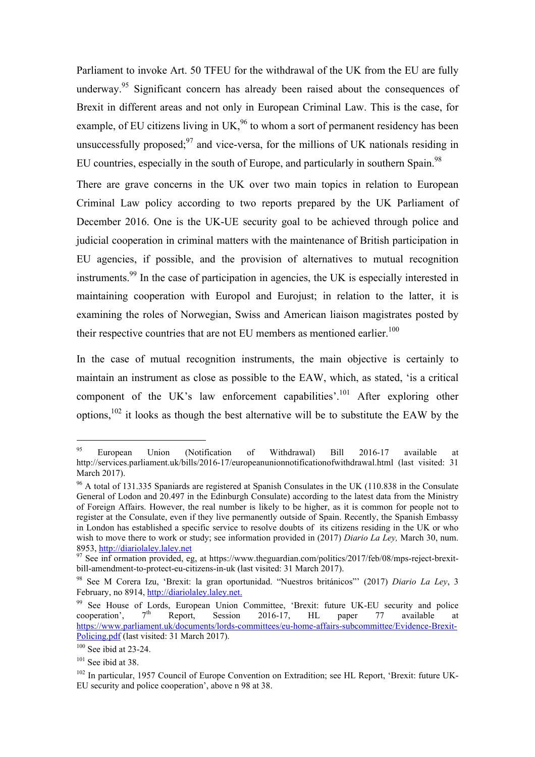Parliament to invoke Art. 50 TFEU for the withdrawal of the UK from the EU are fully underway.<sup>95</sup> Significant concern has already been raised about the consequences of Brexit in different areas and not only in European Criminal Law. This is the case, for example, of EU citizens living in  $UK<sub>1</sub><sup>96</sup>$  to whom a sort of permanent residency has been unsuccessfully proposed;  $97$  and vice-versa, for the millions of UK nationals residing in EU countries, especially in the south of Europe, and particularly in southern Spain.<sup>98</sup>

There are grave concerns in the UK over two main topics in relation to European Criminal Law policy according to two reports prepared by the UK Parliament of December 2016. One is the UK-UE security goal to be achieved through police and judicial cooperation in criminal matters with the maintenance of British participation in EU agencies, if possible, and the provision of alternatives to mutual recognition instruments. <sup>99</sup> In the case of participation in agencies, the UK is especially interested in maintaining cooperation with Europol and Eurojust; in relation to the latter, it is examining the roles of Norwegian, Swiss and American liaison magistrates posted by their respective countries that are not EU members as mentioned earlier.<sup>100</sup>

In the case of mutual recognition instruments, the main objective is certainly to maintain an instrument as close as possible to the EAW, which, as stated, 'is a critical component of the UK's law enforcement capabilities'.<sup>101</sup> After exploring other options,  $102$  it looks as though the best alternative will be to substitute the EAW by the

<sup>95</sup> European Union (Notification of Withdrawal) Bill 2016-17 available at http://services.parliament.uk/bills/2016-17/europeanunionnotificationofwithdrawal.html (last visited: 31 March 2017).

<sup>&</sup>lt;sup>96</sup> A total of 131.335 Spaniards are registered at Spanish Consulates in the UK (110.838 in the Consulate General of Lodon and 20.497 in the Edinburgh Consulate) according to the latest data from the Ministry of Foreign Affairs. However, the real number is likely to be higher, as it is common for people not to register at the Consulate, even if they live permanently outside of Spain. Recently, the Spanish Embassy in London has established a specific service to resolve doubts of its citizens residing in the UK or who wish to move there to work or study; see information provided in (2017) *Diario La Ley,* March 30, num.

<sup>8953,</sup> http://diariolaley.laley.net<br><sup>97</sup> See inf ormation provided, eg, at https://www.theguardian.com/politics/2017/feb/08/mps-reject-brexitbill-amendment-to-protect-eu-citizens-in-uk (last visited: 31 March 2017).

<sup>98</sup> See M Corera Izu, 'Brexit: la gran oportunidad. "Nuestros británicos"' (2017) *Diario La Ley*, 3 February, no 8914, http://diariolaley.laley.net.

<sup>&</sup>lt;sup>99</sup> See House of Lords, European Union Committee, 'Brexit: future UK-EU security and police cooperation'.  $7^{\text{th}}$  Report. Session 2016-17. HL paper 77 available at cooperation',  $7<sup>th</sup>$  Report, Session 2016-17, HL paper 77 available at https://www.parliament.uk/documents/lords-committees/eu-home-affairs-subcommittee/Evidence-Brexit-Policing.pdf (last visited: 31 March 2017).

 $100$  See ibid at 23-24.

 $101$  See ibid at 38.

<sup>&</sup>lt;sup>102</sup> In particular, 1957 Council of Europe Convention on Extradition; see HL Report, 'Brexit: future UK-EU security and police cooperation', above n 98 at 38.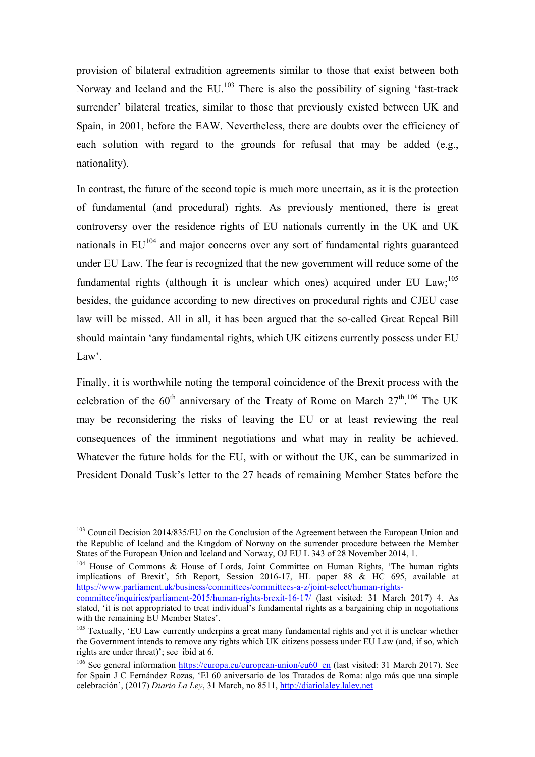provision of bilateral extradition agreements similar to those that exist between both Norway and Iceland and the  $EU^{103}$  There is also the possibility of signing 'fast-track surrender' bilateral treaties, similar to those that previously existed between UK and Spain, in 2001, before the EAW. Nevertheless, there are doubts over the efficiency of each solution with regard to the grounds for refusal that may be added (e.g., nationality).

In contrast, the future of the second topic is much more uncertain, as it is the protection of fundamental (and procedural) rights. As previously mentioned, there is great controversy over the residence rights of EU nationals currently in the UK and UK nationals in  $EU^{104}$  and major concerns over any sort of fundamental rights guaranteed under EU Law. The fear is recognized that the new government will reduce some of the fundamental rights (although it is unclear which ones) acquired under EU Law;<sup>105</sup> besides, the guidance according to new directives on procedural rights and CJEU case law will be missed. All in all, it has been argued that the so-called Great Repeal Bill should maintain 'any fundamental rights, which UK citizens currently possess under EU Law'.

Finally, it is worthwhile noting the temporal coincidence of the Brexit process with the celebration of the  $60^{th}$  anniversary of the Treaty of Rome on March  $27^{th}$ .<sup>106</sup> The UK may be reconsidering the risks of leaving the EU or at least reviewing the real consequences of the imminent negotiations and what may in reality be achieved. Whatever the future holds for the EU, with or without the UK, can be summarized in President Donald Tusk's letter to the 27 heads of remaining Member States before the

 $\overline{a}$ 

<sup>104</sup> House of Commons & House of Lords, Joint Committee on Human Rights, 'The human rights implications of Brexit', 5th Report, Session 2016-17, HL paper 88 & HC 695, available at https://www.parliament.uk/business/committees/committees-a-z/joint-select/human-rights-

<sup>&</sup>lt;sup>103</sup> Council Decision 2014/835/EU on the Conclusion of the Agreement between the European Union and the Republic of Iceland and the Kingdom of Norway on the surrender procedure between the Member States of the European Union and Iceland and Norway, OJ EU L 343 of 28 November 2014, 1.

committee/inquiries/parliament-2015/human-rights-brexit-16-17/ (last visited: 31 March 2017) 4. As stated, 'it is not appropriated to treat individual's fundamental rights as a bargaining chip in negotiations with the remaining EU Member States'.

<sup>&</sup>lt;sup>105</sup> Textually, 'EU Law currently underpins a great many fundamental rights and yet it is unclear whether the Government intends to remove any rights which UK citizens possess under EU Law (and, if so, which rights are under threat)'; see ibid at 6.

<sup>&</sup>lt;sup>106</sup> See general information https://europa.eu/european-union/eu60\_en (last visited: 31 March 2017). See for Spain J C Fernández Rozas, 'El 60 aniversario de los Tratados de Roma: algo más que una simple celebración', (2017) *Diario La Ley*, 31 March, no 8511, http://diariolaley.laley.net